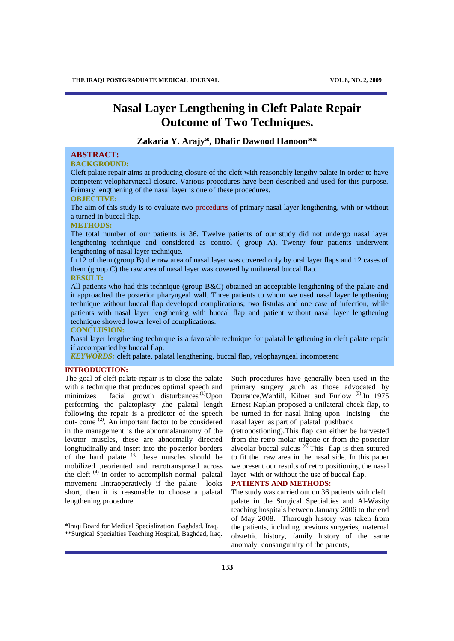# **Nasal Layer Lengthening in Cleft Palate Repair Outcome of Two Techniques.**

# **Zakaria Y. Arajy\*, Dhafir Dawood Hanoon\*\***

# **ABSTRACT:**

# **BACKGROUND:**

Cleft palate repair aims at producing closure of the cleft with reasonably lengthy palate in order to have competent velopharyngeal closure. Various procedures have been described and used for this purpose. Primary lengthening of the nasal layer is one of these procedures.

#### **OBJECTIVE:**

The aim of this study is to evaluate two procedures of primary nasal layer lengthening, with or without a turned in buccal flap.

## **METHODS:**

The total number of our patients is 36. Twelve patients of our study did not undergo nasal layer lengthening technique and considered as control ( group A). Twenty four patients underwent lengthening of nasal layer technique.

In 12 of them (group B) the raw area of nasal layer was covered only by oral layer flaps and 12 cases of them (group C) the raw area of nasal layer was covered by unilateral buccal flap. **RESULT:** 

All patients who had this technique (group B&C) obtained an acceptable lengthening of the palate and it approached the posterior pharyngeal wall. Three patients to whom we used nasal layer lengthening technique without buccal flap developed complications; two fistulas and one case of infection, while patients with nasal layer lengthening with buccal flap and patient without nasal layer lengthening technique showed lower level of complications.

**CONCLUSION:** 

Nasal layer lengthening technique is a favorable technique for palatal lengthening in cleft palate repair if accompanied by buccal flap.

*KEYWORDS:* cleft palate, palatal lengthening, buccal flap, velophayngeal incompetenc

# **INTRODUCTION:**

The goal of cleft palate repair is to close the palate with a technique that produces optimal speech and minimizes facial growth disturbances<sup>(1)</sup>Upon performing the palatoplasty ,the palatal length following the repair is a predictor of the speech out- come<sup>(2)</sup>. An important factor to be considered in the management is the abnormalanatomy of the levator muscles, these are abnormally directed longitudinally and insert into the posterior borders of the hard palate  $(3)$  these muscles should be mobilized ,reoriented and retrotransposed across the cleft  $(4)$  in order to accomplish normal palatal movement .Intraoperatively if the palate looks short, then it is reasonable to choose a palatal lengthening procedure.

Such procedures have generally been used in the primary surgery ,such as those advocated by Dorrance, Wardill, Kilner and Furlow<sup>(5)</sup>. In 1975 Ernest Kaplan proposed a unilateral cheek flap, to be turned in for nasal lining upon incising the nasal layer as part of palatal pushback

(retropostioning).This flap can either be harvested from the retro molar trigone or from the posterior alveolar buccal sulcus  $\overset{(6)}{0}$ . This flap is then sutured to fit the raw area in the nasal side. In this paper we present our results of retro positioning the nasal layer with or without the use of buccal flap.

# **PATIENTS AND METHODS:**

The study was carried out on 36 patients with cleft palate in the Surgical Specialties and Al-Wasity teaching hospitals between January 2006 to the end of May 2008. Thorough history was taken from the patients, including previous surgeries, maternal obstetric history, family history of the same anomaly, consanguinity of the parents,

<sup>\*</sup>Iraqi Board for Medical Specialization. Baghdad, Iraq. \*\*Surgical Specialties Teaching Hospital, Baghdad, Iraq.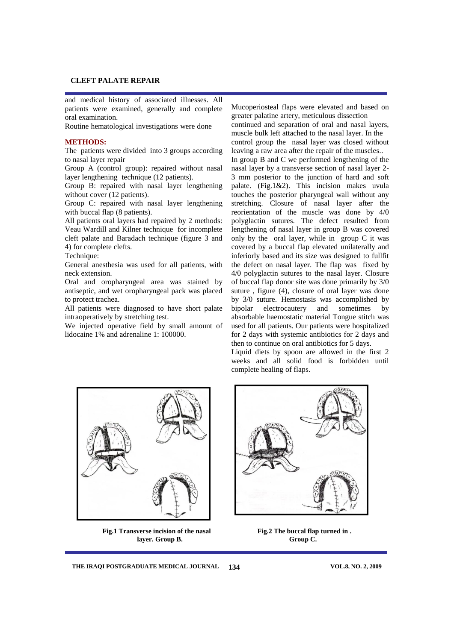and medical history of associated illnesses. All patients were examined, generally and complete oral examination.

Routine hematological investigations were done

## **METHODS:**

The patients were divided into 3 groups according to nasal layer repair

Group A (control group): repaired without nasal layer lengthening technique (12 patients).

Group B: repaired with nasal layer lengthening without cover (12 patients).

Group C: repaired with nasal layer lengthening with buccal flap (8 patients).

All patients oral layers had repaired by 2 methods: Veau Wardill and Kilner technique for incomplete cleft palate and Baradach technique (figure 3 and 4) for complete clefts.

Technique:

General anesthesia was used for all patients, with neck extension.

Oral and oropharyngeal area was stained by antiseptic, and wet oropharyngeal pack was placed to protect trachea.

All patients were diagnosed to have short palate intraoperatively by stretching test.

We injected operative field by small amount of lidocaine 1% and adrenaline 1: 100000.

Mucoperiosteal flaps were elevated and based on greater palatine artery, meticulous dissection

continued and separation of oral and nasal layers, muscle bulk left attached to the nasal layer. In the control group the nasal layer was closed without leaving a raw area after the repair of the muscles..

In group B and C we performed lengthening of the nasal layer by a transverse section of nasal layer 2- 3 mm posterior to the junction of hard and soft palate. (Fig.1&2). This incision makes uvula touches the posterior pharyngeal wall without any stretching. Closure of nasal layer after the reorientation of the muscle was done by 4/0 polyglactin sutures. The defect resulted from lengthening of nasal layer in group B was covered only by the oral layer, while in group C it was covered by a buccal flap elevated unilaterally and inferiorly based and its size was designed to fullfit the defect on nasal layer. The flap was fixed by 4/0 polyglactin sutures to the nasal layer. Closure of buccal flap donor site was done primarily by 3/0 suture , figure (4), closure of oral layer was done by 3/0 suture. Hemostasis was accomplished by bipolar electrocautery and sometimes by absorbable haemostatic material Tongue stitch was used for all patients. Our patients were hospitalized for 2 days with systemic antibiotics for 2 days and then to continue on oral antibiotics for 5 days.

Liquid diets by spoon are allowed in the first 2 weeks and all solid food is forbidden until complete healing of flaps.



**Fig.1 Transverse incision of the nasal Fig.2 The buccal flap turned in . layer. Group B. Group C.**



THE IRAQI POSTGRADUATE MEDICAL JOURNAL 134 VOL.8, NO. 2, 2009 **134**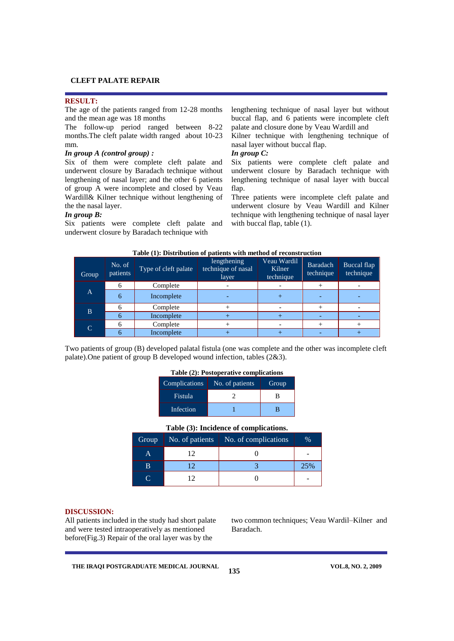#### **RESULT:**

The age of the patients ranged from 12-28 months and the mean age was 18 months

The follow-up period ranged between 8-22 months.The cleft palate width ranged about 10-23 mm.

# *In group A (control group) :*

Six of them were complete cleft palate and underwent closure by Baradach technique without lengthening of nasal layer; and the other 6 patients of group A were incomplete and closed by Veau Wardill& Kilner technique without lengthening of the the nasal layer.

## *In group B:*

Six patients were complete cleft palate and underwent closure by Baradach technique with

lengthening technique of nasal layer but without buccal flap, and 6 patients were incomplete cleft palate and closure done by Veau Wardill and

Kilner technique with lengthening technique of nasal layer without buccal flap.

# *In group C:*

Six patients were complete cleft palate and underwent closure by Baradach technique with lengthening technique of nasal layer with buccal flap.

Three patients were incomplete cleft palate and underwent closure by Veau Wardill and Kilner technique with lengthening technique of nasal layer with buccal flap, table  $(1)$ .

| Group | No. of<br>patients <sup>'</sup> | Type of cleft palate | lengthening<br>technique of nasal<br>layer | Veau Wardil<br>Kilner<br>technique | Baradach<br>technique | Buccal flap<br>technique |
|-------|---------------------------------|----------------------|--------------------------------------------|------------------------------------|-----------------------|--------------------------|
| A     | <sub>0</sub>                    | Complete             |                                            |                                    |                       |                          |
|       | 6                               | Incomplete           |                                            |                                    |                       |                          |
| B.    |                                 | Complete             |                                            |                                    |                       |                          |
|       | h                               | Incomplete           |                                            |                                    |                       |                          |
| C     | n                               | Complete             |                                            |                                    |                       |                          |
|       |                                 | Incomplete           |                                            |                                    |                       |                          |

#### **Table (1): Distribution of patients with method of reconstruction**

Two patients of group (B) developed palatal fistula (one was complete and the other was incomplete cleft palate).One patient of group B developed wound infection, tables (2&3).

# **Table (2): Postoperative complications**

| Complications | No. of patients | Group |
|---------------|-----------------|-------|
| Fistula       |                 |       |
| Infection     |                 |       |

# **Table (3): Incidence of complications.**

| Group | No. of patients | No. of complications | $\%$ |
|-------|-----------------|----------------------|------|
| Α     |                 |                      |      |
| В     |                 |                      | 25%  |
|       |                 |                      |      |

**135**

# **DISCUSSION:**

All patients included in the study had short palate and were tested intraoperatively as mentioned before(Fig.3) Repair of the oral layer was by the

two common techniques; Veau Wardil–Kilner and Baradach.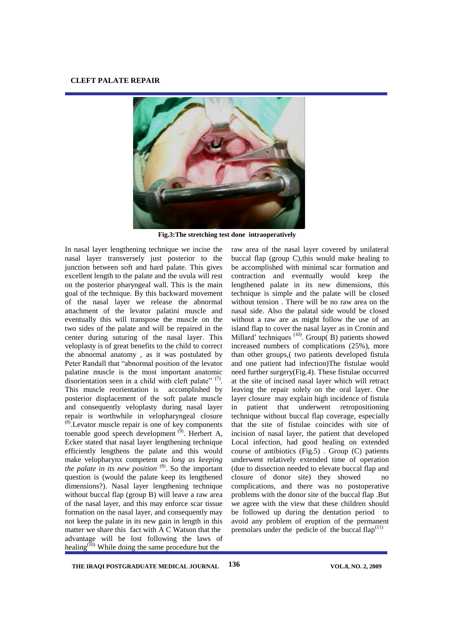

**Fig.3:The stretching test done intraoperatively**

In nasal layer lengthening technique we incise the nasal layer transversely just posterior to the junction between soft and hard palate. This gives excellent length to the palate and the uvula will rest on the posterior pharyngeal wall. This is the main goal of the technique. By this backward movement of the nasal layer we release the abnormal attachment of the levator palatini muscle and eventually this will transpose the muscle on the two sides of the palate and will be repaired in the center during suturing of the nasal layer. This veloplasty is of great benefits to the child to correct the abnormal anatomy , as it was postulated by Peter Randall that "abnormal position of the levator palatine muscle is the most important anatomic disorientation seen in a child with cleft palate"  $(7)$ . This muscle reorientation is accomplished by posterior displacement of the soft palate muscle and consequently veloplasty during nasal layer repair is worthwhile in velopharyngeal closure (8) .Levator muscle repair is one of key components toenable good speech development  $^{(9)}$ . Herbert A, Ecker stated that nasal layer lengthening technique efficiently lengthens the palate and this would make velopharynx competent *as long as keeping*  the palate in its new position  $(8)$ . So the important question is (would the palate keep its lengthened dimensions?). Nasal layer lengthening technique without buccal flap (group B) will leave a raw area of the nasal layer, and this may enforce scar tissue formation on the nasal layer, and consequently may not keep the palate in its new gain in length in this matter we share this fact with A C Watson that the advantage will be lost following the laws of healing<sup>(10)</sup> While doing the same procedure but the

raw area of the nasal layer covered by unilateral buccal flap (group C),this would make healing to be accomplished with minimal scar formation and contraction and eventually would keep the lengthened palate in its new dimensions, this technique is simple and the palate will be closed without tension . There will be no raw area on the nasal side. Also the palatal side would be closed without a raw are as might follow the use of an island flap to cover the nasal layer as in Cronin and Millard' techniques  $(10)$ . Group(B) patients showed increased numbers of complications (25%), more than other groups,( two patients developed fistula and one patient had infection)The fistulae would need further surgery(Fig.4). These fistulae occurred at the site of incised nasal layer which will retract leaving the repair solely on the oral layer. One layer closure may explain high incidence of fistula in patient that underwent retropositioning technique without buccal flap coverage, especially that the site of fistulae coincides with site of incision of nasal layer, the patient that developed Local infection, had good healing on extended course of antibiotics (Fig.5) . Group (C) patients underwent relatively extended time of operation (due to dissection needed to elevate buccal flap and closure of donor site) they showed no complications, and there was no postoperative problems with the donor site of the buccal flap .But we agree with the view that these children should be followed up during the dentation period to avoid any problem of eruption of the permanent premolars under the pedicle of the buccal  $flap^{(11)}$